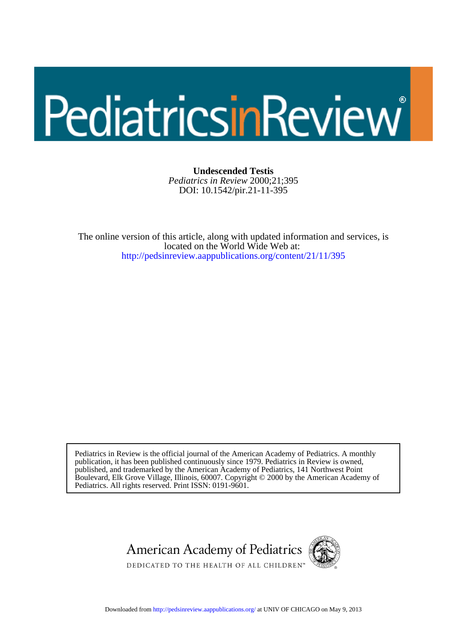# PediatricsinReview

DOI: 10.1542/pir.21-11-395 *Pediatrics in Review* 2000;21;395 **Undescended Testis**

<http://pedsinreview.aappublications.org/content/21/11/395> located on the World Wide Web at: The online version of this article, along with updated information and services, is

Pediatrics. All rights reserved. Print ISSN: 0191-9601. Boulevard, Elk Grove Village, Illinois, 60007. Copyright © 2000 by the American Academy of published, and trademarked by the American Academy of Pediatrics, 141 Northwest Point publication, it has been published continuously since 1979. Pediatrics in Review is owned, Pediatrics in Review is the official journal of the American Academy of Pediatrics. A monthly



Downloaded from<http://pedsinreview.aappublications.org/>at UNIV OF CHICAGO on May 9, 2013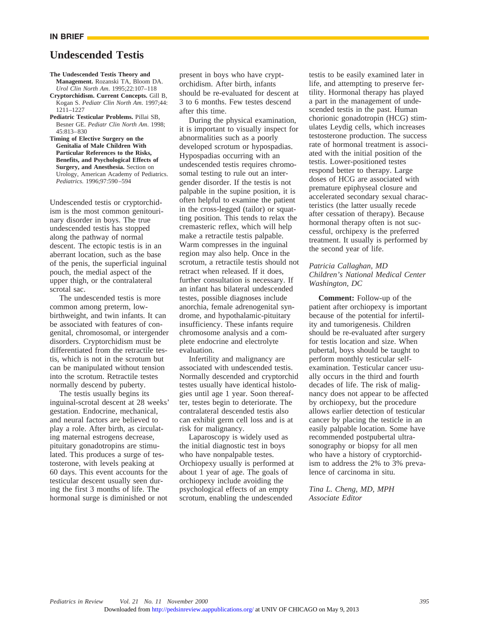#### **IN BRIEF**

# **Undescended Testis**

#### **The Undescended Testis Theory and Management.** Rozanski TA, Bloom DA. *Urol Clin North Am*. 1995;22:107–118

- **Cryptorchidism. Current Concepts.** Gill B, Kogan S. *Pediatr Clin North Am*. 1997;44: 1211–1227
- **Pediatric Testicular Problems.** Pillai SB, Besner GE. *Pediatr Clin North Am*. 1998;  $45.813 - 830$
- **Timing of Elective Surgery on the Genitalia of Male Children With Particular References to the Risks, Benefits, and Psychological Effects of Surgery, and Anesthesia.** Section on Urology, American Academy of Pediatrics. *Pediatrics.* 1996;97:590–594

Undescended testis or cryptorchidism is the most common genitourinary disorder in boys. The true undescended testis has stopped along the pathway of normal descent. The ectopic testis is in an aberrant location, such as the base of the penis, the superficial inguinal pouch, the medial aspect of the upper thigh, or the contralateral scrotal sac.

The undescended testis is more common among preterm, lowbirthweight, and twin infants. It can be associated with features of congenital, chromosomal, or intergender disorders. Cryptorchidism must be differentiated from the retractile testis, which is not in the scrotum but can be manipulated without tension into the scrotum. Retractile testes normally descend by puberty.

The testis usually begins its inguinal-scrotal descent at 28 weeks' gestation. Endocrine, mechanical, and neural factors are believed to play a role. After birth, as circulating maternal estrogens decrease, pituitary gonadotropins are stimulated. This produces a surge of testosterone, with levels peaking at 60 days. This event accounts for the testicular descent usually seen during the first 3 months of life. The hormonal surge is diminished or not

present in boys who have cryptorchidism. After birth, infants should be re-evaluated for descent at 3 to 6 months. Few testes descend after this time.

During the physical examination, it is important to visually inspect for abnormalities such as a poorly developed scrotum or hypospadias. Hypospadias occurring with an undescended testis requires chromosomal testing to rule out an intergender disorder. If the testis is not palpable in the supine position, it is often helpful to examine the patient in the cross-legged (tailor) or squatting position. This tends to relax the cremasteric reflex, which will help make a retractile testis palpable. Warm compresses in the inguinal region may also help. Once in the scrotum, a retractile testis should not retract when released. If it does, further consultation is necessary. If an infant has bilateral undescended testes, possible diagnoses include anorchia, female adrenogenital syndrome, and hypothalamic-pituitary insufficiency. These infants require chromosome analysis and a complete endocrine and electrolyte evaluation.

Infertility and malignancy are associated with undescended testis. Normally descended and cryptorchid testes usually have identical histologies until age 1 year. Soon thereafter, testes begin to deteriorate. The contralateral descended testis also can exhibit germ cell loss and is at risk for malignancy.

Laparoscopy is widely used as the initial diagnostic test in boys who have nonpalpable testes. Orchiopexy usually is performed at about 1 year of age. The goals of orchiopexy include avoiding the psychological effects of an empty scrotum, enabling the undescended

testis to be easily examined later in life, and attempting to preserve fertility. Hormonal therapy has played a part in the management of undescended testis in the past. Human chorionic gonadotropin (HCG) stimulates Leydig cells, which increases testosterone production. The success rate of hormonal treatment is associated with the initial position of the testis. Lower-positioned testes respond better to therapy. Large doses of HCG are associated with premature epiphyseal closure and accelerated secondary sexual characteristics (the latter usually recede after cessation of therapy). Because hormonal therapy often is not successful, orchipexy is the preferred treatment. It usually is performed by the second year of life.

### *Patricia Callaghan, MD Children's National Medical Center Washington, DC*

**Comment:** Follow-up of the patient after orchiopexy is important because of the potential for infertility and tumorigenesis. Children should be re-evaluated after surgery for testis location and size. When pubertal, boys should be taught to perform monthly testicular selfexamination. Testicular cancer usually occurs in the third and fourth decades of life. The risk of malignancy does not appear to be affected by orchiopexy, but the procedure allows earlier detection of testicular cancer by placing the testicle in an easily palpable location. Some have recommended postpubertal ultrasonography or biopsy for all men who have a history of cryptorchidism to address the 2% to 3% prevalence of carcinoma in situ.

*Tina L. Cheng, MD, MPH Associate Editor*